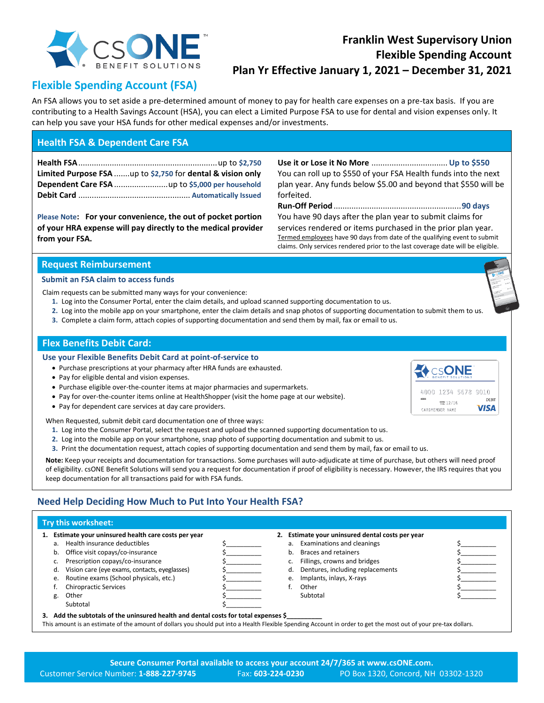

## **Franklin West Supervisory Union Flexible Spending Account Plan Yr Effective January 1, 2021 – December 31, 2021**

#### **Flexible Spending Account (FSA)**

An FSA allows you to set aside a pre-determined amount of money to pay for health care expenses on a pre-tax basis. If you are contributing to a Health Savings Account (HSA), you can elect a Limited Purpose FSA to use for dental and vision expenses only. It can help you save your HSA funds for other medical expenses and/or investments.

#### **Health FSA & Dependent Care FSA**

**Health FSA**..............................................................up to **\$2,750 Limited Purpose FSA** .......up to **\$2,750** for **dental & vision only Dependent Care FSA** ........................up to **\$5,000 per household Debit Card** .................................................. **Automatically Issued**

**Please Note: For your convenience, the out of pocket portion of your HRA expense will pay directly to the medical provider from your FSA.**

**Use it or Lose it No More** .................................. **Up to \$550** You can roll up to \$550 of your FSA Health funds into the next plan year. Any funds below \$5.00 and beyond that \$550 will be forfeited.

**Run-Off Period**.........................................................**90 days** You have 90 days after the plan year to submit claims for services rendered or items purchased in the prior plan year. Termed employees have 90 days from date of the qualifying event to submit claims. Only services rendered prior to the last coverage date will be eligible.

#### **Request Reimbursement**

#### **Submit an FSA claim to access funds**

Claim requests can be submitted many ways for your convenience:

- **1.** Log into the Consumer Portal, enter the claim details, and upload scanned supporting documentation to us.
- **2.** Log into the mobile app on your smartphone, enter the claim details and snap photos of supporting documentation to submit them to us.
- **3.** Complete a claim form, attach copies of supporting documentation and send them by mail, fax or email to us.

#### **Flex Benefits Debit Card:**

**Use your Flexible Benefits Debit Card at point-of-service to**

- Purchase prescriptions at your pharmacy after HRA funds are exhausted.
- Pay for eligible dental and vision expenses.
- Purchase eligible over-the-counter items at major pharmacies and supermarkets.
- Pay for over-the-counter items online at HealthShopper (visit the home page at our website).
- Pay for dependent care services at day care providers.

When Requested, submit debit card documentation one of three ways:

- **1.** Log into the Consumer Portal, select the request and upload the scanned supporting documentation to us.
- **2.** Log into the mobile app on your smartphone, snap photo of supporting documentation and submit to us.
- **3.** Print the documentation request, attach copies of supporting documentation and send them by mail, fax or email to us.

**Note:** Keep your receipts and documentation for transactions. Some purchases will auto-adjudicate at time of purchase, but others will need proof of eligibility. csONE Benefit Solutions will send you a request for documentation if proof of eligibility is necessary. However, the IRS requires that you keep documentation for all transactions paid for with FSA funds.

#### **Need Help Deciding How Much to Put Into Your Health FSA?**

#### **Try this worksheet:**

| 1. Estimate your uninsured health care costs per year                                                                                                            |                                               |  |  | Estimate your uninsured dental costs per year |                                     |  |  |
|------------------------------------------------------------------------------------------------------------------------------------------------------------------|-----------------------------------------------|--|--|-----------------------------------------------|-------------------------------------|--|--|
| a.                                                                                                                                                               | Health insurance deductibles                  |  |  |                                               | a. Examinations and cleanings       |  |  |
| b.                                                                                                                                                               | Office visit copays/co-insurance              |  |  | b.                                            | <b>Braces and retainers</b>         |  |  |
|                                                                                                                                                                  | Prescription copays/co-insurance              |  |  |                                               | Fillings, crowns and bridges        |  |  |
| d.                                                                                                                                                               | Vision care (eye exams, contacts, eyeglasses) |  |  |                                               | d. Dentures, including replacements |  |  |
| e.                                                                                                                                                               | Routine exams (School physicals, etc.)        |  |  |                                               | Implants, inlays, X-rays<br>e.      |  |  |
|                                                                                                                                                                  | <b>Chiropractic Services</b>                  |  |  |                                               | Other                               |  |  |
|                                                                                                                                                                  | Other                                         |  |  |                                               | Subtotal                            |  |  |
|                                                                                                                                                                  | Subtotal                                      |  |  |                                               |                                     |  |  |
| 3. Add the subtotals of the uninsured health and dental costs for total expenses \$                                                                              |                                               |  |  |                                               |                                     |  |  |
| This amount is an estimate of the amount of dollars you should put into a Health Flexible Spending Account in order to get the most out of your pre-tax dollars. |                                               |  |  |                                               |                                     |  |  |